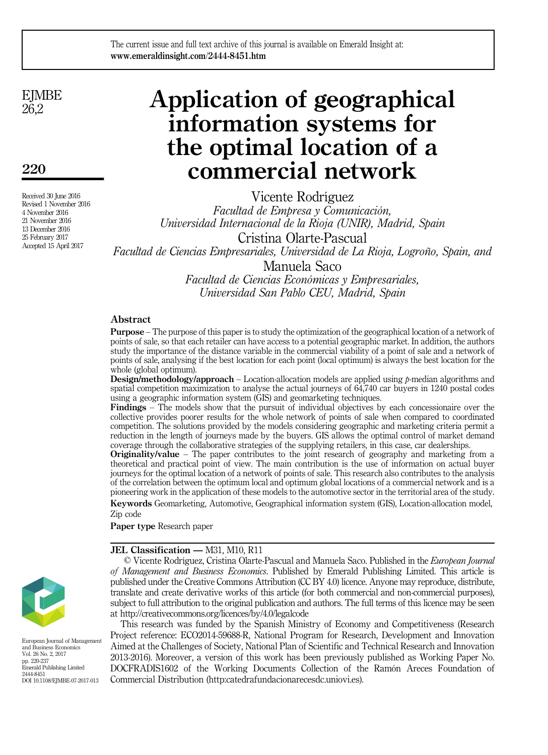## The current issue and full text archive of this journal is available on Emerald Insight at: www.emeraldinsight.com/2444-8451.htm

**EJMBE** 26,2

220

Received 30 June 2016 Revised 1 November 2016 4 November 2016 21 November 2016 13 December 2016 25 February 2017 Accepted 15 April 2017

# Application of geographical information systems for the optimal location of a commercial network

Vicente Rodríguez

Facultad de Empresa y Comunicación, Universidad Internacional de la Rioja (UNIR), Madrid, Spain Cristina Olarte-Pascual Facultad de Ciencias Empresariales, Universidad de La Rioja, Logroño, Spain, and Manuela Saco Facultad de Ciencias Económicas y Empresariales,

Universidad San Pablo CEU, Madrid, Spain

## Abstract

Purpose – The purpose of this paper is to study the optimization of the geographical location of a network of points of sale, so that each retailer can have access to a potential geographic market. In addition, the authors study the importance of the distance variable in the commercial viability of a point of sale and a network of points of sale, analysing if the best location for each point (local optimum) is always the best location for the whole (global optimum).

**Design/methodology/approach** – Location-allocation models are applied using  $p$ -median algorithms and spatial competition maximization to analyse the actual journeys of 64,740 car buyers in 1240 postal codes using a geographic information system (GIS) and geomarketing techniques.

Findings – The models show that the pursuit of individual objectives by each concessionaire over the collective provides poorer results for the whole network of points of sale when compared to coordinated competition. The solutions provided by the models considering geographic and marketing criteria permit a reduction in the length of journeys made by the buyers. GIS allows the optimal control of market demand coverage through the collaborative strategies of the supplying retailers, in this case, car dealerships.

Originality/value – The paper contributes to the joint research of geography and marketing from a theoretical and practical point of view. The main contribution is the use of information on actual buyer journeys for the optimal location of a network of points of sale. This research also contributes to the analysis of the correlation between the optimum local and optimum global locations of a commercial network and is a pioneering work in the application of these models to the automotive sector in the territorial area of the study.

Keywords Geomarketing, Automotive, Geographical information system (GIS), Location-allocation model, Zip code

Paper type Research paper

#### JEL Classification — M31, M10, R11

© Vicente Rodríguez, Cristina Olarte-Pascual and Manuela Saco. Published in the European Journal of Management and Business Economics. Published by Emerald Publishing Limited. This article is published under the Creative Commons Attribution (CC BY 4.0) licence. Anyone may reproduce, distribute, translate and create derivative works of this article (for both commercial and non-commercial purposes), subject to full attribution to the original publication and authors. The full terms of this licence may be seen at<http://creativecommons.org/licences/by/4.0/legalcode>

This research was funded by the Spanish Ministry of Economy and Competitiveness (Research Project reference: ECO2014-59688-R, National Program for Research, Development and Innovation Aimed at the Challenges of Society, National Plan of Scientific and Technical Research and Innovation 2013-2016). Moreover, a version of this work has been previously published as Working Paper No. DOCFRADIS1602 of the Working Documents Collection of the Ramón Areces Foundation of Commercial Distribution (http:catedrafundacionarecesdc.uniovi.es).



European Journal of Management and Business Economics Vol. 26 No. 2, 2017 pp. 220-237 Emerald Publishing Limited 2444-8451 DOI 10.1108/EJMBE-07-2017-013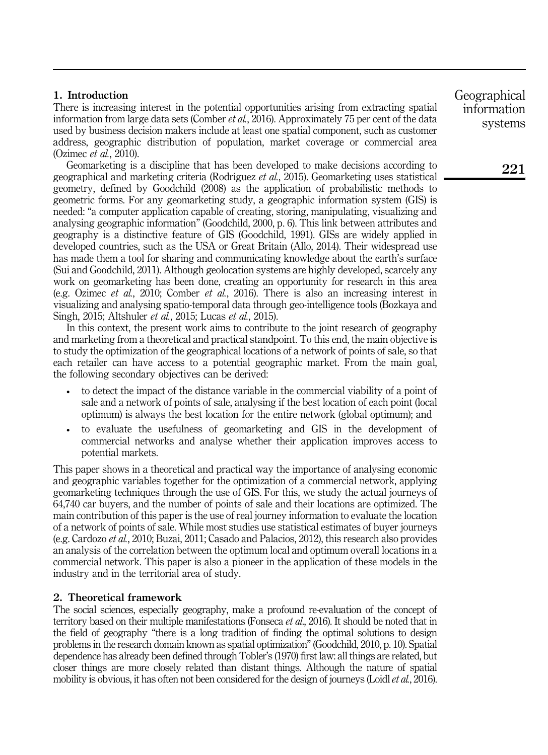# 1. Introduction

There is increasing interest in the potential opportunities arising from extracting spatial information from large data sets (Comber et al., 2016). Approximately 75 per cent of the data used by business decision makers include at least one spatial component, such as customer address, geographic distribution of population, market coverage or commercial area (Ozimec et al., 2010).

Geomarketing is a discipline that has been developed to make decisions according to geographical and marketing criteria (Rodríguez et al., 2015). Geomarketing uses statistical geometry, defined by Goodchild (2008) as the application of probabilistic methods to geometric forms. For any geomarketing study, a geographic information system (GIS) is needed: "a computer application capable of creating, storing, manipulating, visualizing and analysing geographic information" (Goodchild, 2000, p. 6). This link between attributes and geography is a distinctive feature of GIS (Goodchild, 1991). GISs are widely applied in developed countries, such as the USA or Great Britain (Allo, 2014). Their widespread use has made them a tool for sharing and communicating knowledge about the earth's surface (Sui and Goodchild, 2011). Although geolocation systems are highly developed, scarcely any work on geomarketing has been done, creating an opportunity for research in this area (e.g. Ozimec et al., 2010; Comber et al., 2016). There is also an increasing interest in visualizing and analysing spatio-temporal data through geo-intelligence tools (Bozkaya and Singh, 2015; Altshuler et al., 2015; Lucas et al., 2015).

In this context, the present work aims to contribute to the joint research of geography and marketing from a theoretical and practical standpoint. To this end, the main objective is to study the optimization of the geographical locations of a network of points of sale, so that each retailer can have access to a potential geographic market. From the main goal, the following secondary objectives can be derived:

- to detect the impact of the distance variable in the commercial viability of a point of sale and a network of points of sale, analysing if the best location of each point (local optimum) is always the best location for the entire network (global optimum); and
- to evaluate the usefulness of geomarketing and GIS in the development of commercial networks and analyse whether their application improves access to potential markets.

This paper shows in a theoretical and practical way the importance of analysing economic and geographic variables together for the optimization of a commercial network, applying geomarketing techniques through the use of GIS. For this, we study the actual journeys of 64,740 car buyers, and the number of points of sale and their locations are optimized. The main contribution of this paper is the use of real journey information to evaluate the location of a network of points of sale. While most studies use statistical estimates of buyer journeys (e.g. Cardozo et al., 2010; Buzai, 2011; Casado and Palacios, 2012), this research also provides an analysis of the correlation between the optimum local and optimum overall locations in a commercial network. This paper is also a pioneer in the application of these models in the industry and in the territorial area of study.

# 2. Theoretical framework

The social sciences, especially geography, make a profound re-evaluation of the concept of territory based on their multiple manifestations (Fonseca *et al.*, 2016). It should be noted that in the field of geography "there is a long tradition of finding the optimal solutions to design problems in the research domain known as spatial optimization" (Goodchild, 2010, p. 10). Spatial dependence has already been defined through Tobler's (1970) first law: all things are related, but closer things are more closely related than distant things. Although the nature of spatial mobility is obvious, it has often not been considered for the design of journeys (Loidl et al., 2016). Geographical information systems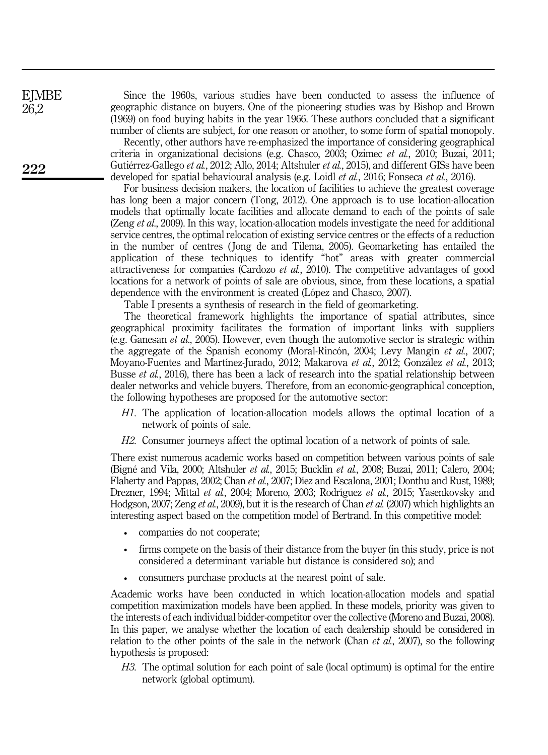Since the 1960s, various studies have been conducted to assess the influence of geographic distance on buyers. One of the pioneering studies was by Bishop and Brown (1969) on food buying habits in the year 1966. These authors concluded that a significant number of clients are subject, for one reason or another, to some form of spatial monopoly.

Recently, other authors have re-emphasized the importance of considering geographical criteria in organizational decisions (e.g. Chasco, 2003; Ozimec et al., 2010; Buzai, 2011; Gutiérrez-Gallego et al., 2012; Allo, 2014; Altshuler et al., 2015), and different GISs have been developed for spatial behavioural analysis (e.g. Loidl *et al.*, 2016; Fonseca *et al.*, 2016).

For business decision makers, the location of facilities to achieve the greatest coverage has long been a major concern (Tong, 2012). One approach is to use location-allocation models that optimally locate facilities and allocate demand to each of the points of sale (Zeng *et al.*, 2009). In this way, location-allocation models investigate the need for additional service centres, the optimal relocation of existing service centres or the effects of a reduction in the number of centres ( Jong de and Tilema, 2005). Geomarketing has entailed the application of these techniques to identify "hot" areas with greater commercial attractiveness for companies (Cardozo et al., 2010). The competitive advantages of good locations for a network of points of sale are obvious, since, from these locations, a spatial dependence with the environment is created (López and Chasco, 2007).

Table I presents a synthesis of research in the field of geomarketing.

The theoretical framework highlights the importance of spatial attributes, since geographical proximity facilitates the formation of important links with suppliers (e.g. Ganesan et al., 2005). However, even though the automotive sector is strategic within the aggregate of the Spanish economy (Moral-Rincón, 2004; Levy Mangin et al., 2007; Moyano-Fuentes and Martínez-Jurado, 2012; Makarova et al., 2012; González et al., 2013; Busse *et al.*, 2016), there has been a lack of research into the spatial relationship between dealer networks and vehicle buyers. Therefore, from an economic-geographical conception, the following hypotheses are proposed for the automotive sector:

- H1. The application of location-allocation models allows the optimal location of a network of points of sale.
- H2. Consumer journeys affect the optimal location of a network of points of sale.

There exist numerous academic works based on competition between various points of sale (Bigné and Vila, 2000; Altshuler et al., 2015; Bucklin et al., 2008; Buzai, 2011; Calero, 2004; Flaherty and Pappas, 2002; Chan et al., 2007; Díez and Escalona, 2001; Donthu and Rust, 1989; Drezner, 1994; Mittal et al., 2004; Moreno, 2003; Rodríguez et al., 2015; Yasenkovsky and Hodgson, 2007; Zeng et al., 2009), but it is the research of Chan et al. (2007) which highlights an interesting aspect based on the competition model of Bertrand. In this competitive model:

- companies do not cooperate;
- firms compete on the basis of their distance from the buyer (in this study, price is not considered a determinant variable but distance is considered so); and
- consumers purchase products at the nearest point of sale.

Academic works have been conducted in which location-allocation models and spatial competition maximization models have been applied. In these models, priority was given to the interests of each individual bidder-competitor over the collective (Moreno and Buzai, 2008). In this paper, we analyse whether the location of each dealership should be considered in relation to the other points of the sale in the network (Chan *et al.*, 2007), so the following hypothesis is proposed:

H3. The optimal solution for each point of sale (local optimum) is optimal for the entire network (global optimum).

**EJMBE** 26,2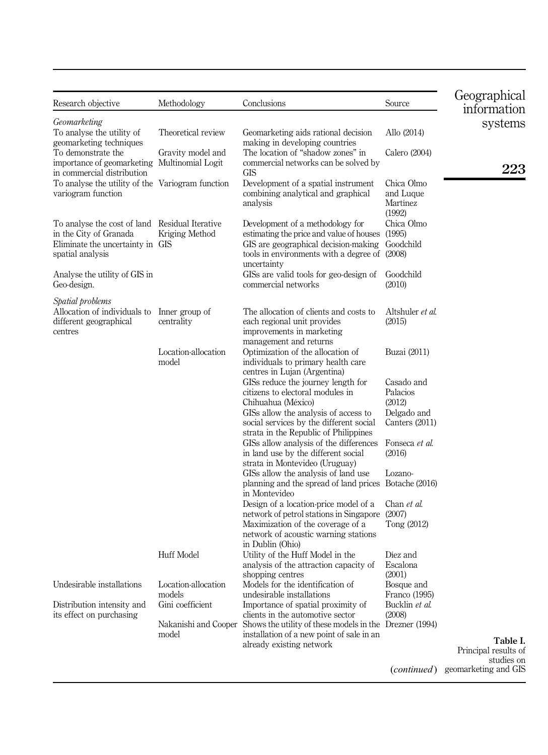| Research objective                                                                                                               | Methodology                             | Conclusions                                                                                                                                                                                           | Source                                        | Geographical<br>information        |
|----------------------------------------------------------------------------------------------------------------------------------|-----------------------------------------|-------------------------------------------------------------------------------------------------------------------------------------------------------------------------------------------------------|-----------------------------------------------|------------------------------------|
| Geomarketing<br>To analyse the utility of<br>geomarketing techniques<br>To demonstrate the                                       | Theoretical review<br>Gravity model and | Geomarketing aids rational decision<br>making in developing countries<br>The location of "shadow zones" in                                                                                            | Allo (2014)<br>Calero (2004)                  | systems                            |
| importance of geomarketing Multinomial Logit<br>in commercial distribution                                                       |                                         | commercial networks can be solved by<br>GIS                                                                                                                                                           |                                               | 223                                |
| To analyse the utility of the Variogram function<br>variogram function                                                           |                                         | Development of a spatial instrument<br>combining analytical and graphical<br>analysis                                                                                                                 | Chica Olmo<br>and Luque<br>Martínez<br>(1992) |                                    |
| To analyse the cost of land Residual Iterative<br>in the City of Granada<br>Eliminate the uncertainty in GIS<br>spatial analysis | Kriging Method                          | Development of a methodology for<br>estimating the price and value of houses (1995)<br>GIS are geographical decision-making Goodchild<br>tools in environments with a degree of (2008)<br>uncertainty | Chica Olmo                                    |                                    |
| Analyse the utility of GIS in<br>Geo-design.                                                                                     |                                         | GISs are valid tools for geo-design of<br>commercial networks                                                                                                                                         | Goodchild<br>(2010)                           |                                    |
| Spatial problems<br>Allocation of individuals to<br>different geographical<br>centres                                            | Inner group of<br>centrality            | The allocation of clients and costs to<br>each regional unit provides<br>improvements in marketing<br>management and returns                                                                          | Altshuler et al.<br>(2015)                    |                                    |
|                                                                                                                                  | Location-allocation<br>model            | Optimization of the allocation of<br>individuals to primary health care<br>centres in Lujan (Argentina)                                                                                               | Buzai (2011)                                  |                                    |
|                                                                                                                                  |                                         | GISs reduce the journey length for<br>citizens to electoral modules in<br>Chihuahua (México)                                                                                                          | Casado and<br>Palacios<br>(2012)              |                                    |
|                                                                                                                                  |                                         | GISs allow the analysis of access to<br>social services by the different social<br>strata in the Republic of Philippines                                                                              | Delgado and<br>Canters $(2011)$               |                                    |
|                                                                                                                                  |                                         | GISs allow analysis of the differences<br>in land use by the different social<br>strata in Montevideo (Uruguay)                                                                                       | Fonseca et al.<br>(2016)                      |                                    |
|                                                                                                                                  |                                         | GISs allow the analysis of land use<br>planning and the spread of land prices Botache (2016)                                                                                                          | Lozano-                                       |                                    |
|                                                                                                                                  |                                         | in Montevideo<br>Design of a location-price model of a<br>network of petrol stations in Singapore                                                                                                     | Chan et al.<br>(2007)                         |                                    |
|                                                                                                                                  |                                         | Maximization of the coverage of a<br>network of acoustic warning stations<br>in Dublin (Ohio)                                                                                                         | Tong (2012)                                   |                                    |
|                                                                                                                                  | <b>Huff Model</b>                       | Utility of the Huff Model in the<br>analysis of the attraction capacity of                                                                                                                            | Diez and<br>Escalona                          |                                    |
| Undesirable installations                                                                                                        | Location-allocation<br>models           | shopping centres<br>Models for the identification of<br>undesirable installations                                                                                                                     | (2001)<br>Bosque and<br>Franco (1995)         |                                    |
| Distribution intensity and<br>its effect on purchasing                                                                           | Gini coefficient                        | Importance of spatial proximity of<br>clients in the automotive sector                                                                                                                                | Bucklin et al.<br>(2008)                      |                                    |
|                                                                                                                                  | model                                   | Nakanishi and Cooper Shows the utility of these models in the Drezner (1994)<br>installation of a new point of sale in an                                                                             |                                               | Table I.                           |
|                                                                                                                                  |                                         | already existing network                                                                                                                                                                              |                                               | Principal results of<br>studies on |
|                                                                                                                                  |                                         |                                                                                                                                                                                                       |                                               | (continued) geomarketing and GIS   |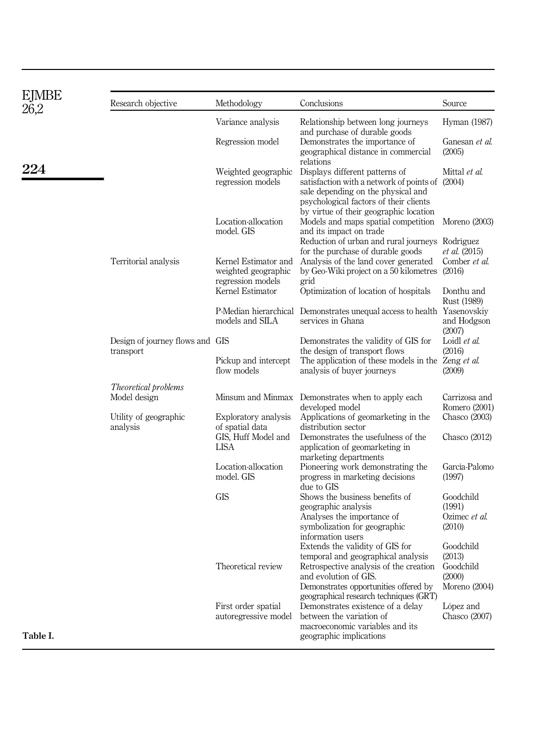| EJMBE<br>26.2 | Research objective                           | Methodology                                                      | Conclusions                                                                                                                                                                                                 | Source                                         |
|---------------|----------------------------------------------|------------------------------------------------------------------|-------------------------------------------------------------------------------------------------------------------------------------------------------------------------------------------------------------|------------------------------------------------|
|               |                                              | Variance analysis                                                | Relationship between long journeys<br>and purchase of durable goods                                                                                                                                         | Hyman (1987)                                   |
|               |                                              | Regression model                                                 | Demonstrates the importance of<br>geographical distance in commercial<br>relations                                                                                                                          | Ganesan et al.<br>(2005)                       |
| 224           |                                              | Weighted geographic<br>regression models                         | Displays different patterns of<br>satisfaction with a network of points of (2004)<br>sale depending on the physical and<br>psychological factors of their clients<br>by virtue of their geographic location | Mittal et al.                                  |
|               |                                              | Location-allocation<br>model. GIS                                | Models and maps spatial competition<br>and its impact on trade                                                                                                                                              | Moreno (2003)                                  |
|               | Territorial analysis                         | Kernel Estimator and<br>weighted geographic<br>regression models | Reduction of urban and rural journeys Rodríguez<br>for the purchase of durable goods<br>Analysis of the land cover generated<br>by Geo-Wiki project on a 50 kilometres (2016)<br>grid                       | et al. (2015)<br>Comber et al.                 |
|               |                                              | Kernel Estimator                                                 | Optimization of location of hospitals                                                                                                                                                                       | Donthu and<br>Rust (1989)                      |
|               |                                              | models and SILA                                                  | P-Median hierarchical Demonstrates unequal access to health Yasenovskiy<br>services in Ghana                                                                                                                | and Hodgson<br>(2007)                          |
|               | Design of journey flows and GIS<br>transport |                                                                  | Demonstrates the validity of GIS for<br>the design of transport flows                                                                                                                                       | Loidl et al.<br>(2016)                         |
|               |                                              | Pickup and intercept<br>flow models                              | The application of these models in the Zeng et al.<br>analysis of buyer journeys                                                                                                                            | (2009)                                         |
|               | Theoretical problems                         |                                                                  |                                                                                                                                                                                                             |                                                |
|               | Model design                                 |                                                                  | Minsum and Minmax Demonstrates when to apply each<br>developed model                                                                                                                                        | Carrizosa and<br>Romero (2001)                 |
|               | Utility of geographic<br>analysis            | Exploratory analysis<br>of spatial data                          | Applications of geomarketing in the<br>distribution sector                                                                                                                                                  | Chasco (2003)                                  |
|               |                                              | GIS, Huff Model and<br><b>LISA</b>                               | Demonstrates the usefulness of the<br>application of geomarketing in<br>marketing departments                                                                                                               | Chasco $(2012)$                                |
|               |                                              | Location-allocation<br>model. GIS                                | Pioneering work demonstrating the<br>progress in marketing decisions<br>due to GIS                                                                                                                          | García-Palomo<br>(1997)                        |
|               |                                              | <b>GIS</b>                                                       | Shows the business benefits of<br>geographic analysis<br>Analyses the importance of<br>symbolization for geographic                                                                                         | Goodchild<br>(1991)<br>Ozimec et al.<br>(2010) |
|               |                                              |                                                                  | information users<br>Extends the validity of GIS for<br>temporal and geographical analysis                                                                                                                  | Goodchild<br>(2013)                            |
|               |                                              | Theoretical review                                               | Retrospective analysis of the creation<br>and evolution of GIS.                                                                                                                                             | Goodchild<br>(2000)                            |
|               |                                              |                                                                  | Demonstrates opportunities offered by<br>geographical research techniques (GRT)                                                                                                                             | Moreno (2004)                                  |
|               |                                              | First order spatial<br>autoregressive model                      | Demonstrates existence of a delay<br>between the variation of<br>macroeconomic variables and its                                                                                                            | López and<br>Chasco (2007)                     |
| Table I.      |                                              |                                                                  | geographic implications                                                                                                                                                                                     |                                                |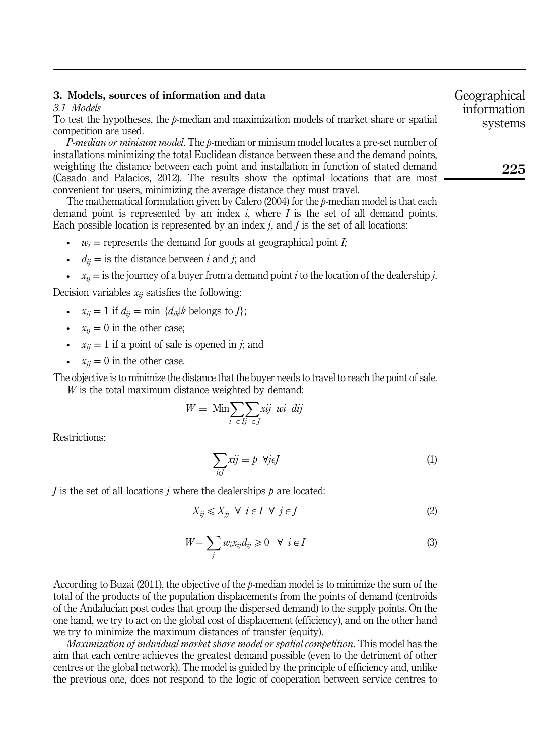## 3. Models, sources of information and data

3.1 Models

To test the hypotheses, the  $p$ -median and maximization models of market share or spatial competition are used.

P-median or minisum model. The p-median or minisum model locates a pre-set number of installations minimizing the total Euclidean distance between these and the demand points, weighting the distance between each point and installation in function of stated demand (Casado and Palacios, 2012). The results show the optimal locations that are most convenient for users, minimizing the average distance they must travel.

The mathematical formulation given by Calero (2004) for the  $p$ -median model is that each demand point is represented by an index i, where I is the set of all demand points. Each possible location is represented by an index  $i$ , and  $I$  is the set of all locations:

- $w_i$  = represents the demand for goods at geographical point *I*;
- $d_{ii}$  = is the distance between *i* and *j*; and
- $x_{ii} =$  is the journey of a buyer from a demand point *i* to the location of the dealership *j*.

Decision variables  $x_{ii}$  satisfies the following:

- $x_{ii} = 1$  if  $d_{ii} = \min \{d_{ik} | k \text{ belongs to } J \};$
- $x_{ii} = 0$  in the other case;
- $x_{ij} = 1$  if a point of sale is opened in j; and
- $x_{ij} = 0$  in the other case.

The objective is to minimize the distance that the buyer needs to travel to reach the point of sale.  $W$  is the total maximum distance weighted by demand:

$$
W = \operatorname{Min} \sum_{i} \sum_{i} xij \ \ \text{wi} \ \ \text{dij}
$$

Restrictions:

$$
\sum_{j \in J} xij = p \ \forall j \in J \tag{1}
$$

 $J$  is the set of all locations  $j$  where the dealerships  $p$  are located:

$$
X_{ij} \leqslant X_{jj} \ \forall \ i \in I \ \forall \ j \in J \tag{2}
$$

$$
W - \sum_{j} w_{i} x_{ij} d_{ij} \ge 0 \quad \forall \ i \in I
$$
 (3)

According to Buzai (2011), the objective of the  $p$ -median model is to minimize the sum of the total of the products of the population displacements from the points of demand (centroids of the Andalucian post codes that group the dispersed demand) to the supply points. On the one hand, we try to act on the global cost of displacement (efficiency), and on the other hand we try to minimize the maximum distances of transfer (equity).

Maximization of individual market share model or spatial competition. This model has the aim that each centre achieves the greatest demand possible (even to the detriment of other centres or the global network). The model is guided by the principle of efficiency and, unlike the previous one, does not respond to the logic of cooperation between service centres to Geographical information systems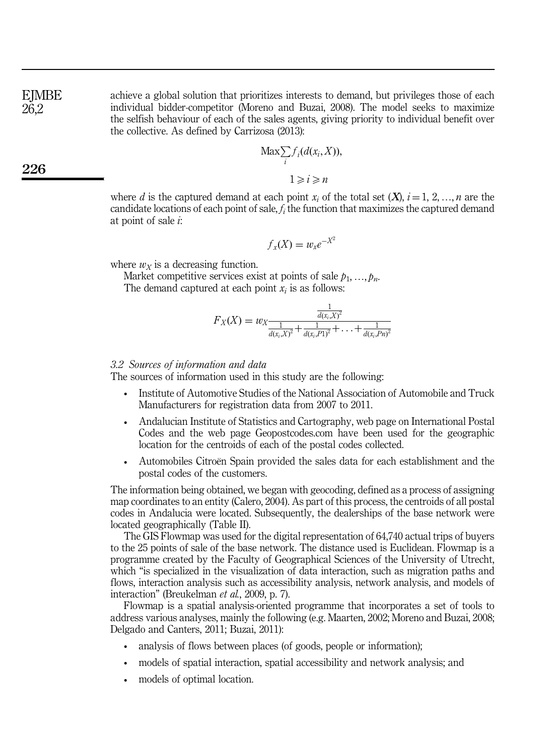**EJMBE** 26,2

achieve a global solution that prioritizes interests to demand, but privileges those of each individual bidder-competitor (Moreno and Buzai, 2008). The model seeks to maximize the selfish behaviour of each of the sales agents, giving priority to individual benefit over the collective. As defined by Carrizosa (2013):

$$
\text{Max}_{i} \sum_{i} f_i(d(x_i, X)),
$$
  

$$
1 \geq i \geq n
$$

where d is the captured demand at each point  $x_i$  of the total set  $(X)$ ,  $i = 1, 2, ..., n$  are the candidate locations of each point of sale,  $f_i$  the function that maximizes the captured demand at point of sale  $\dot{i}$ :

$$
f_x(X) = w_x e^{-X^2}
$$

where  $w_x$  is a decreasing function.

Market competitive services exist at points of sale  $p_1, ..., p_n$ .

The demand captured at each point  $x_i$  is as follows:

$$
F_X(X) = w_X \frac{\frac{1}{d(x_i, X)^2}}{\frac{1}{d(x_i, X)^2} + \frac{1}{d(x_i, P1)^2} + \ldots + \frac{1}{d(x_i, Pn)^2}}
$$

## 3.2 Sources of information and data

The sources of information used in this study are the following:

- Institute of Automotive Studies of the National Association of Automobile and Truck Manufacturers for registration data from 2007 to 2011.
- Andalucian Institute of Statistics and Cartography, web page on International Postal Codes and the web page Geopostcodes.com have been used for the geographic location for the centroids of each of the postal codes collected.
- Automobiles Citroën Spain provided the sales data for each establishment and the postal codes of the customers.

The information being obtained, we began with geocoding, defined as a process of assigning map coordinates to an entity (Calero, 2004). As part of this process, the centroids of all postal codes in Andalucia were located. Subsequently, the dealerships of the base network were located geographically (Table II).

The GIS Flowmap was used for the digital representation of 64,740 actual trips of buyers to the 25 points of sale of the base network. The distance used is Euclidean. Flowmap is a programme created by the Faculty of Geographical Sciences of the University of Utrecht, which "is specialized in the visualization of data interaction, such as migration paths and flows, interaction analysis such as accessibility analysis, network analysis, and models of interaction" (Breukelman et al., 2009, p. 7).

Flowmap is a spatial analysis-oriented programme that incorporates a set of tools to address various analyses, mainly the following (e.g. Maarten, 2002; Moreno and Buzai, 2008; Delgado and Canters, 2011; Buzai, 2011):

- analysis of flows between places (of goods, people or information);
- models of spatial interaction, spatial accessibility and network analysis; and
- models of optimal location.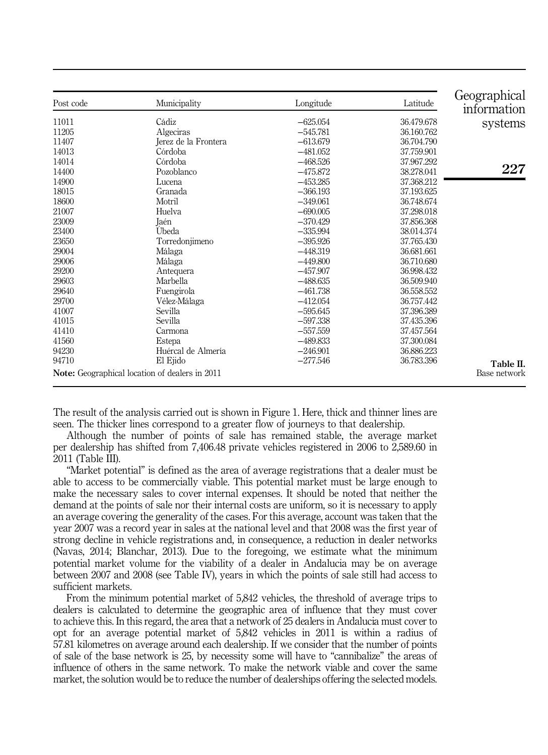| Post code | Municipality                                          | Longitude  | Latitude   | Geographical<br>information |
|-----------|-------------------------------------------------------|------------|------------|-----------------------------|
| 11011     | Cádiz                                                 | $-625.054$ | 36.479.678 | systems                     |
| 11205     | Algeciras                                             | $-545.781$ | 36.160.762 |                             |
| 11407     | Jerez de la Frontera                                  | $-613.679$ | 36.704.790 |                             |
| 14013     | Córdoba                                               | $-481.052$ | 37.759.901 |                             |
| 14014     | Córdoba                                               | $-468.526$ | 37.967.292 |                             |
| 14400     | Pozoblanco                                            | $-475.872$ | 38.278.041 | 227                         |
| 14900     | Lucena                                                | $-453.285$ | 37.368.212 |                             |
| 18015     | Granada                                               | $-366.193$ | 37.193.625 |                             |
| 18600     | Motril                                                | $-349.061$ | 36.748.674 |                             |
| 21007     | Huelva                                                | $-690.005$ | 37.298.018 |                             |
| 23009     | Jaén                                                  | $-370.429$ | 37.856.368 |                             |
| 23400     | Ubeda                                                 | $-335.994$ | 38.014.374 |                             |
| 23650     | Torredonjimeno                                        | $-395.926$ | 37.765.430 |                             |
| 29004     | Málaga                                                | $-448.319$ | 36.681.661 |                             |
| 29006     | Málaga                                                | $-449.800$ | 36.710.680 |                             |
| 29200     | Antequera                                             | $-457.907$ | 36.998.432 |                             |
| 29603     | Marbella                                              | $-488.635$ | 36.509.940 |                             |
| 29640     | Fuengirola                                            | $-461.738$ | 36.558.552 |                             |
| 29700     | Vélez-Málaga                                          | $-412.054$ | 36.757.442 |                             |
| 41007     | Sevilla                                               | $-595.645$ | 37.396.389 |                             |
| 41015     | Sevilla                                               | $-597.338$ | 37.435.396 |                             |
| 41410     | Carmona                                               | $-557.559$ | 37.457.564 |                             |
| 41560     | Estepa                                                | $-489.833$ | 37.300.084 |                             |
| 94230     | Huércal de Almería                                    | $-246.901$ | 36.886.223 |                             |
| 94710     | El Ejido                                              | $-277.546$ | 36.783.396 | Table II.                   |
|           | <b>Note:</b> Geographical location of dealers in 2011 |            |            | Base network                |

The result of the analysis carried out is shown in Figure 1. Here, thick and thinner lines are seen. The thicker lines correspond to a greater flow of journeys to that dealership.

Although the number of points of sale has remained stable, the average market per dealership has shifted from 7,406.48 private vehicles registered in 2006 to 2,589.60 in 2011 (Table III).

"Market potential" is defined as the area of average registrations that a dealer must be able to access to be commercially viable. This potential market must be large enough to make the necessary sales to cover internal expenses. It should be noted that neither the demand at the points of sale nor their internal costs are uniform, so it is necessary to apply an average covering the generality of the cases. For this average, account was taken that the year 2007 was a record year in sales at the national level and that 2008 was the first year of strong decline in vehicle registrations and, in consequence, a reduction in dealer networks (Navas, 2014; Blanchar, 2013). Due to the foregoing, we estimate what the minimum potential market volume for the viability of a dealer in Andalucia may be on average between 2007 and 2008 (see Table IV), years in which the points of sale still had access to sufficient markets.

From the minimum potential market of 5,842 vehicles, the threshold of average trips to dealers is calculated to determine the geographic area of influence that they must cover to achieve this. In this regard, the area that a network of 25 dealers in Andalucia must cover to opt for an average potential market of 5,842 vehicles in 2011 is within a radius of 57.81 kilometres on average around each dealership. If we consider that the number of points of sale of the base network is 25, by necessity some will have to "cannibalize" the areas of influence of others in the same network. To make the network viable and cover the same market, the solution would be to reduce the number of dealerships offering the selected models.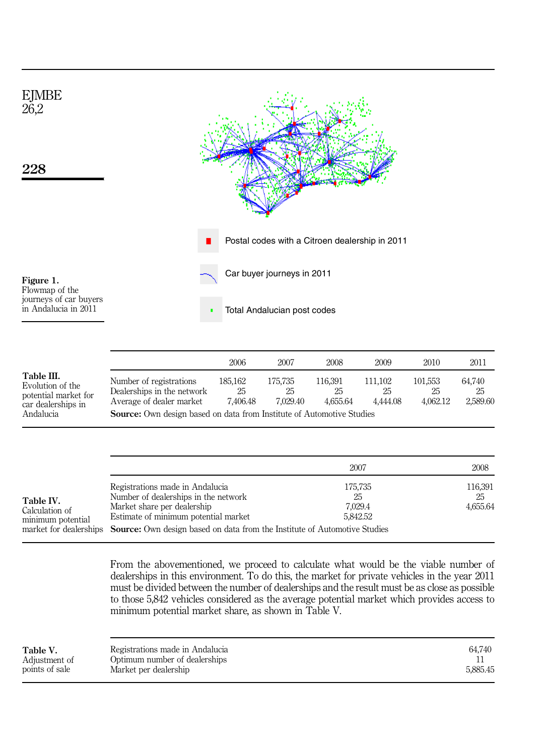

|                                                                                           |                                                                                                                                                                   | 2006                      | 2007                      | 2008                      | 2009                      | 2010                      | 2011                     |
|-------------------------------------------------------------------------------------------|-------------------------------------------------------------------------------------------------------------------------------------------------------------------|---------------------------|---------------------------|---------------------------|---------------------------|---------------------------|--------------------------|
| Table III.<br>Evolution of the<br>potential market for<br>car dealerships in<br>Andalucia | Number of registrations<br>Dealerships in the network<br>Average of dealer market<br><b>Source:</b> Own design based on data from Institute of Automotive Studies | 185.162<br>25<br>7.406.48 | 175.735<br>25<br>7.029.40 | 116.391<br>25<br>4.655.64 | 111.102<br>25<br>4.444.08 | 101.553<br>25<br>4.062.12 | 64.740<br>25<br>2.589.60 |

|                                                  |                                                                                                                                                                                                                                                    | 2007                                 | 2008                      |
|--------------------------------------------------|----------------------------------------------------------------------------------------------------------------------------------------------------------------------------------------------------------------------------------------------------|--------------------------------------|---------------------------|
| Table IV.<br>Calculation of<br>minimum potential | Registrations made in Andalucia<br>Number of dealerships in the network<br>Market share per dealership<br>Estimate of minimum potential market<br>market for dealerships Source: Own design based on data from the Institute of Automotive Studies | 175,735<br>25<br>7.029.4<br>5.842.52 | 116,391<br>25<br>4,655.64 |

From the abovementioned, we proceed to calculate what would be the viable number of dealerships in this environment. To do this, the market for private vehicles in the year 2011 must be divided between the number of dealerships and the result must be as close as possible to those 5,842 vehicles considered as the average potential market which provides access to minimum potential market share, as shown in Table V.

| Table V.       | Registrations made in Andalucia | 64.740   |
|----------------|---------------------------------|----------|
| Adjustment of  | Optimum number of dealerships   |          |
| points of sale | Market per dealership           | 5.885.45 |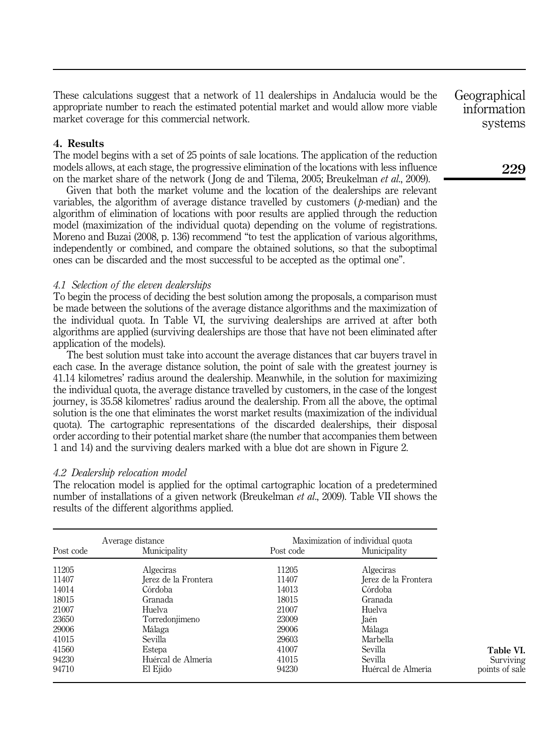These calculations suggest that a network of 11 dealerships in Andalucia would be the appropriate number to reach the estimated potential market and would allow more viable market coverage for this commercial network.

# 4. Results

The model begins with a set of 25 points of sale locations. The application of the reduction models allows, at each stage, the progressive elimination of the locations with less influence on the market share of the network (Jong de and Tilema, 2005; Breukelman *et al.*, 2009).

Given that both the market volume and the location of the dealerships are relevant variables, the algorithm of average distance travelled by customers  $(p\text{-median})$  and the algorithm of elimination of locations with poor results are applied through the reduction model (maximization of the individual quota) depending on the volume of registrations. Moreno and Buzai (2008, p. 136) recommend "to test the application of various algorithms, independently or combined, and compare the obtained solutions, so that the suboptimal ones can be discarded and the most successful to be accepted as the optimal one".

# 4.1 Selection of the eleven dealerships

To begin the process of deciding the best solution among the proposals, a comparison must be made between the solutions of the average distance algorithms and the maximization of the individual quota. In Table VI, the surviving dealerships are arrived at after both algorithms are applied (surviving dealerships are those that have not been eliminated after application of the models).

The best solution must take into account the average distances that car buyers travel in each case. In the average distance solution, the point of sale with the greatest journey is 41.14 kilometres' radius around the dealership. Meanwhile, in the solution for maximizing the individual quota, the average distance travelled by customers, in the case of the longest journey, is 35.58 kilometres' radius around the dealership. From all the above, the optimal solution is the one that eliminates the worst market results (maximization of the individual quota). The cartographic representations of the discarded dealerships, their disposal order according to their potential market share (the number that accompanies them between 1 and 14) and the surviving dealers marked with a blue dot are shown in Figure 2.

#### 4.2 Dealership relocation model

The relocation model is applied for the optimal cartographic location of a predetermined number of installations of a given network (Breukelman et al., 2009). Table VII shows the results of the different algorithms applied.

|           | Average distance     |           | Maximization of individual quota |
|-----------|----------------------|-----------|----------------------------------|
| Post code | Municipality         | Post code | Municipality                     |
| 11205     | Algeciras            | 11205     | Algeciras                        |
| 11407     | Jerez de la Frontera | 11407     | Jerez de la Frontera             |
| 14014     | Córdoba              | 14013     | Córdoba                          |
| 18015     | Granada              | 18015     | Granada                          |
| 21007     | Huelva               | 21007     | Huelva                           |
| 23650     | Torredonjimeno       | 23009     | Jaén                             |
| 29006     | Málaga               | 29006     | Málaga                           |
| 41015     | Sevilla              | 29603     | Marbella                         |
| 41560     | Estepa               | 41007     | Sevilla                          |
| 94230     | Huércal de Almería   | 41015     | Sevilla                          |
| 94710     | El Ejido             | 94230     | Huércal de Almería               |

Geographical information systems

229

Table VI. Surviving points of sale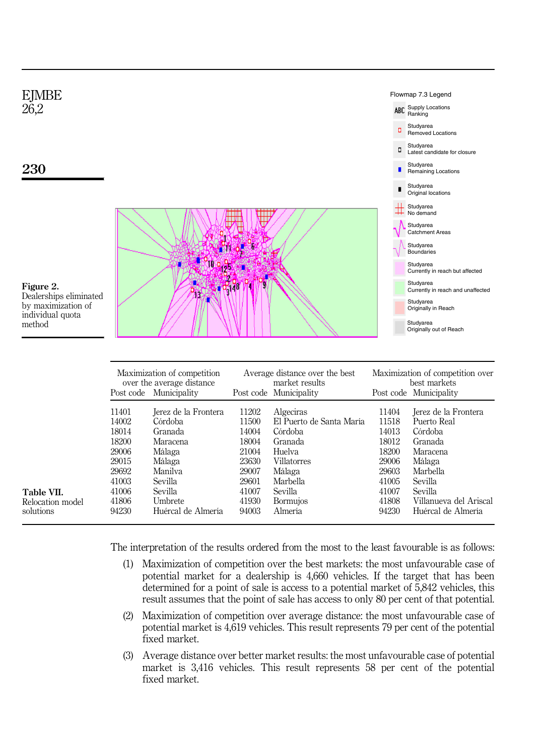

|                  | Maximization of competition<br>over the average distance<br>Post code Municipality |                      | Average distance over the best<br>market results<br>Post code Municipality |                          | Maximization of competition over<br>best markets<br>Post code Municipality |                        |
|------------------|------------------------------------------------------------------------------------|----------------------|----------------------------------------------------------------------------|--------------------------|----------------------------------------------------------------------------|------------------------|
|                  | 11401                                                                              | Jerez de la Frontera | 11202                                                                      | Algeciras                | 11404                                                                      | Jerez de la Frontera   |
|                  | 14002                                                                              | Córdoba              | 11500                                                                      | El Puerto de Santa María | 11518                                                                      | Puerto Real            |
|                  | 18014                                                                              | Granada              | 14004                                                                      | Córdoba                  | 14013                                                                      | Córdoba                |
|                  | 18200                                                                              | Maracena             | 18004                                                                      | Granada                  | 18012                                                                      | Granada                |
|                  | 29006                                                                              | Málaga               | 21004                                                                      | Huelva                   | 18200                                                                      | Maracena               |
|                  | 29015                                                                              | Málaga               | 23630                                                                      | <b>Villatorres</b>       | 29006                                                                      | Málaga                 |
|                  | 29692                                                                              | Manilya              | 29007                                                                      | Málaga                   | 29603                                                                      | Marbella               |
|                  | 41003                                                                              | Sevilla              | 29601                                                                      | Marbella                 | 41005                                                                      | Sevilla                |
| Table VII.       | 41006                                                                              | Sevilla              | 41007                                                                      | Sevilla                  | 41007                                                                      | <b>Sevilla</b>         |
| Relocation model | 41806                                                                              | Umbrete              | 41930                                                                      | <b>Bormujos</b>          | 41808                                                                      | Villanueva del Ariscal |
| solutions        | 94230                                                                              | Huércal de Almería   | 94003                                                                      | Almería                  | 94230                                                                      | Huércal de Almería     |

The interpretation of the results ordered from the most to the least favourable is as follows:

- (1) Maximization of competition over the best markets: the most unfavourable case of potential market for a dealership is 4,660 vehicles. If the target that has been determined for a point of sale is access to a potential market of 5,842 vehicles, this result assumes that the point of sale has access to only 80 per cent of that potential.
- (2) Maximization of competition over average distance: the most unfavourable case of potential market is 4,619 vehicles. This result represents 79 per cent of the potential fixed market.
- (3) Average distance over better market results: the most unfavourable case of potential market is 3,416 vehicles. This result represents 58 per cent of the potential fixed market.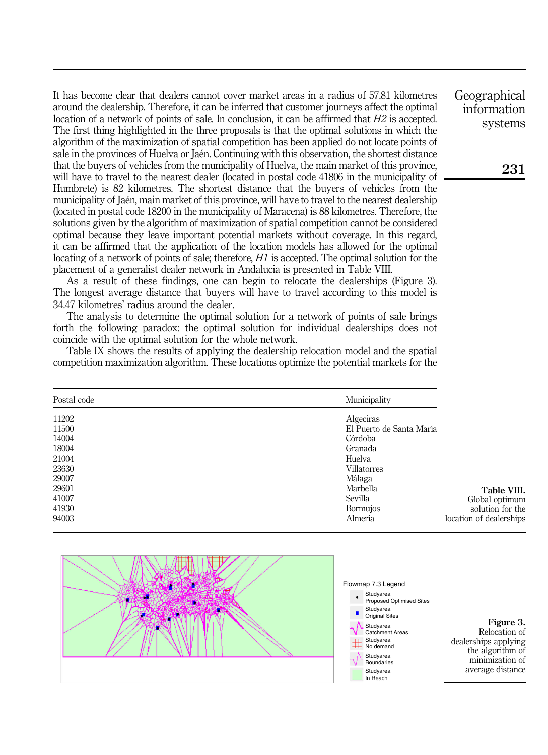It has become clear that dealers cannot cover market areas in a radius of 57.81 kilometres around the dealership. Therefore, it can be inferred that customer journeys affect the optimal location of a network of points of sale. In conclusion, it can be affirmed that  $H2$  is accepted. The first thing highlighted in the three proposals is that the optimal solutions in which the algorithm of the maximization of spatial competition has been applied do not locate points of sale in the provinces of Huelva or Jaén. Continuing with this observation, the shortest distance that the buyers of vehicles from the municipality of Huelva, the main market of this province, will have to travel to the nearest dealer (located in postal code 41806 in the municipality of Humbrete) is 82 kilometres. The shortest distance that the buyers of vehicles from the municipality of Jaén, main market of this province, will have to travel to the nearest dealership (located in postal code 18200 in the municipality of Maracena) is 88 kilometres. Therefore, the solutions given by the algorithm of maximization of spatial competition cannot be considered optimal because they leave important potential markets without coverage. In this regard, it can be affirmed that the application of the location models has allowed for the optimal locating of a network of points of sale; therefore,  $H1$  is accepted. The optimal solution for the placement of a generalist dealer network in Andalucia is presented in Table VIII.

As a result of these findings, one can begin to relocate the dealerships (Figure 3). The longest average distance that buyers will have to travel according to this model is 34.47 kilometres' radius around the dealer.

The analysis to determine the optimal solution for a network of points of sale brings forth the following paradox: the optimal solution for individual dealerships does not coincide with the optimal solution for the whole network.

Table IX shows the results of applying the dealership relocation model and the spatial competition maximization algorithm. These locations optimize the potential markets for the

| Postal code | Municipality             |                         |
|-------------|--------------------------|-------------------------|
| 11202       | Algeciras                |                         |
| 11500       | El Puerto de Santa María |                         |
| 14004       | Córdoba                  |                         |
| 18004       | Granada                  |                         |
| 21004       | Huelva                   |                         |
| 23630       | <b>Villatorres</b>       |                         |
| 29007       | Málaga                   |                         |
| 29601       | Marbella                 | Table VIII.             |
| 41007       | Sevilla                  | Global optimum          |
| 41930       | Bormujos                 | solution for the        |
| 94003       | Almería                  | location of dealerships |





Figure 3. Relocation of dealerships applying the algorithm of minimization of

average distance

Geographical information systems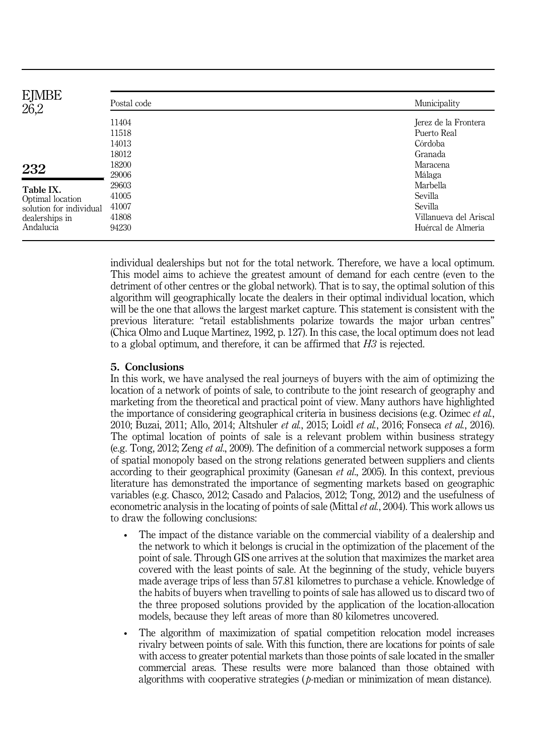| <b>EJMBE</b><br>Postal code<br>26,2 | Municipality           |
|-------------------------------------|------------------------|
| 11404                               | Jerez de la Frontera   |
| 11518                               | Puerto Real            |
| 14013                               | Córdoba                |
| 18012                               | Granada                |
| 18200<br>232                        | Maracena               |
| 29006                               | Málaga                 |
| 29603<br>Table IX.                  | Marbella               |
| 41005<br>Optimal location           | Sevilla                |
| 41007<br>solution for individual    | Sevilla                |
| 41808<br>dealerships in             | Villanueva del Ariscal |
| Andalucia<br>94230                  | Huércal de Almería     |

individual dealerships but not for the total network. Therefore, we have a local optimum. This model aims to achieve the greatest amount of demand for each centre (even to the detriment of other centres or the global network). That is to say, the optimal solution of this algorithm will geographically locate the dealers in their optimal individual location, which will be the one that allows the largest market capture. This statement is consistent with the previous literature: "retail establishments polarize towards the major urban centres" (Chica Olmo and Luque Martínez, 1992, p. 127). In this case, the local optimum does not lead to a global optimum, and therefore, it can be affirmed that H3 is rejected.

# 5. Conclusions

In this work, we have analysed the real journeys of buyers with the aim of optimizing the location of a network of points of sale, to contribute to the joint research of geography and marketing from the theoretical and practical point of view. Many authors have highlighted the importance of considering geographical criteria in business decisions (e.g. Ozimec *et al.*, 2010; Buzai, 2011; Allo, 2014; Altshuler et al., 2015; Loidl et al., 2016; Fonseca et al., 2016). The optimal location of points of sale is a relevant problem within business strategy (e.g. Tong, 2012; Zeng et al., 2009). The definition of a commercial network supposes a form of spatial monopoly based on the strong relations generated between suppliers and clients according to their geographical proximity (Ganesan *et al.*, 2005). In this context, previous literature has demonstrated the importance of segmenting markets based on geographic variables (e.g. Chasco, 2012; Casado and Palacios, 2012; Tong, 2012) and the usefulness of econometric analysis in the locating of points of sale (Mittal *et al.*, 2004). This work allows us to draw the following conclusions:

- The impact of the distance variable on the commercial viability of a dealership and the network to which it belongs is crucial in the optimization of the placement of the point of sale. Through GIS one arrives at the solution that maximizes the market area covered with the least points of sale. At the beginning of the study, vehicle buyers made average trips of less than 57.81 kilometres to purchase a vehicle. Knowledge of the habits of buyers when travelling to points of sale has allowed us to discard two of the three proposed solutions provided by the application of the location-allocation models, because they left areas of more than 80 kilometres uncovered.
- The algorithm of maximization of spatial competition relocation model increases rivalry between points of sale. With this function, there are locations for points of sale with access to greater potential markets than those points of sale located in the smaller commercial areas. These results were more balanced than those obtained with algorithms with cooperative strategies (*p*-median or minimization of mean distance).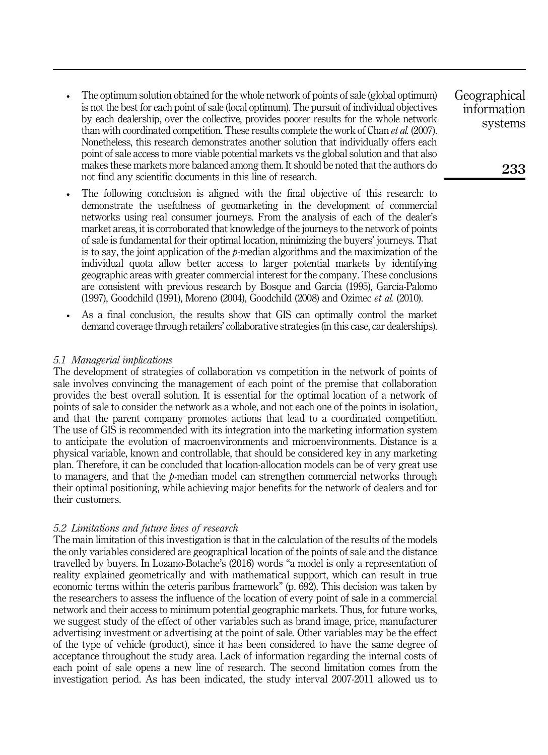- The optimum solution obtained for the whole network of points of sale (global optimum) is not the best for each point of sale (local optimum). The pursuit of individual objectives by each dealership, over the collective, provides poorer results for the whole network than with coordinated competition. These results complete the work of Chan *et al.* (2007). Nonetheless, this research demonstrates another solution that individually offers each point of sale access to more viable potential markets vs the global solution and that also makes these markets more balanced among them. It should be noted that the authors do not find any scientific documents in this line of research.
- The following conclusion is aligned with the final objective of this research: to demonstrate the usefulness of geomarketing in the development of commercial networks using real consumer journeys. From the analysis of each of the dealer's market areas, it is corroborated that knowledge of the journeys to the network of points of sale is fundamental for their optimal location, minimizing the buyers' journeys. That is to say, the joint application of the  $\beta$ -median algorithms and the maximization of the individual quota allow better access to larger potential markets by identifying geographic areas with greater commercial interest for the company. These conclusions are consistent with previous research by Bosque and García (1995), García-Palomo (1997), Goodchild (1991), Moreno (2004), Goodchild (2008) and Ozimec et al. (2010).
- As a final conclusion, the results show that GIS can optimally control the market demand coverage through retailers' collaborative strategies (in this case, car dealerships).

## 5.1 Managerial implications

The development of strategies of collaboration vs competition in the network of points of sale involves convincing the management of each point of the premise that collaboration provides the best overall solution. It is essential for the optimal location of a network of points of sale to consider the network as a whole, and not each one of the points in isolation, and that the parent company promotes actions that lead to a coordinated competition. The use of GIS is recommended with its integration into the marketing information system to anticipate the evolution of macroenvironments and microenvironments. Distance is a physical variable, known and controllable, that should be considered key in any marketing plan. Therefore, it can be concluded that location-allocation models can be of very great use to managers, and that the  $\nu$ -median model can strengthen commercial networks through their optimal positioning, while achieving major benefits for the network of dealers and for their customers.

#### 5.2 Limitations and future lines of research

The main limitation of this investigation is that in the calculation of the results of the models the only variables considered are geographical location of the points of sale and the distance travelled by buyers. In Lozano-Botache's (2016) words "a model is only a representation of reality explained geometrically and with mathematical support, which can result in true economic terms within the ceteris paribus framework" (p. 692). This decision was taken by the researchers to assess the influence of the location of every point of sale in a commercial network and their access to minimum potential geographic markets. Thus, for future works, we suggest study of the effect of other variables such as brand image, price, manufacturer advertising investment or advertising at the point of sale. Other variables may be the effect of the type of vehicle (product), since it has been considered to have the same degree of acceptance throughout the study area. Lack of information regarding the internal costs of each point of sale opens a new line of research. The second limitation comes from the investigation period. As has been indicated, the study interval 2007-2011 allowed us to

Geographical information systems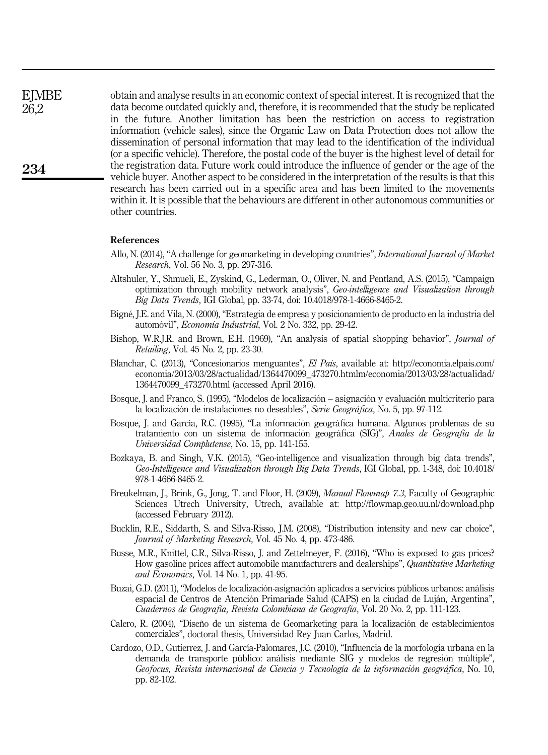obtain and analyse results in an economic context of special interest. It is recognized that the data become outdated quickly and, therefore, it is recommended that the study be replicated in the future. Another limitation has been the restriction on access to registration information (vehicle sales), since the Organic Law on Data Protection does not allow the dissemination of personal information that may lead to the identification of the individual (or a specific vehicle). Therefore, the postal code of the buyer is the highest level of detail for the registration data. Future work could introduce the influence of gender or the age of the vehicle buyer. Another aspect to be considered in the interpretation of the results is that this research has been carried out in a specific area and has been limited to the movements within it. It is possible that the behaviours are different in other autonomous communities or other countries.

#### References

- Allo, N. (2014), "A challenge for geomarketing in developing countries", *International Journal of Market* Research, Vol. 56 No. 3, pp. 297-316.
- Altshuler, Y., Shmueli, E., Zyskind, G., Lederman, O., Oliver, N. and Pentland, A.S. (2015), "Campaign optimization through mobility network analysis", Geo-intelligence and Visualization through Big Data Trends, IGI Global, pp. 33-74, doi: 10.4018/978-1-4666-8465-2.
- Bigné, J.E. and Vila, N. (2000), "Estrategia de empresa y posicionamiento de producto en la industria del automóvil", Economía Industrial, Vol. 2 No. 332, pp. 29-42.
- Bishop, W.R.J.R. and Brown, E.H. (1969), "An analysis of spatial shopping behavior", Journal of Retailing, Vol. 45 No. 2, pp. 23-30.
- Blanchar, C. (2013), "Concesionarios menguantes", El País, available at: [http://economia.elpais.com/](http://economia.elpais.com/economia/2013/03/28/actualidad/1364470099_473270.htmlm/economia/2013/03/28/actualidad/1364470099_473270.html) [economia/2013/03/28/actualidad/1364470099\\_473270.htmlm/economia/2013/03/28/actualidad/](http://economia.elpais.com/economia/2013/03/28/actualidad/1364470099_473270.htmlm/economia/2013/03/28/actualidad/1364470099_473270.html) [1364470099\\_473270.html](http://economia.elpais.com/economia/2013/03/28/actualidad/1364470099_473270.htmlm/economia/2013/03/28/actualidad/1364470099_473270.html) (accessed April 2016).
- Bosque, J. and Franco, S. (1995), "Modelos de localización asignación y evaluación multicriterio para la localización de instalaciones no deseables", Serie Geográfica, No. 5, pp. 97-112.
- Bosque, J. and García, R.C. (1995), "La información geográfica humana. Algunos problemas de su tratamiento con un sistema de información geográfica (SIG)", Anales de Geografía de la Universidad Complutense, No. 15, pp. 141-155.
- Bozkaya, B. and Singh, V.K. (2015), "Geo-intelligence and visualization through big data trends", Geo-Intelligence and Visualization through Big Data Trends, IGI Global, pp. 1-348, doi: 10.4018/ 978-1-4666-8465-2.
- Breukelman, J., Brink, G., Jong, T. and Floor, H. (2009), *Manual Flowmap 7.3*, Faculty of Geographic Sciences Utrech University, Utrech, available at:<http://flowmap.geo.uu.nl/download.php> (accessed February 2012).
- Bucklin, R.E., Siddarth, S. and Silva-Risso, J.M. (2008), "Distribution intensity and new car choice", Journal of Marketing Research, Vol. 45 No. 4, pp. 473-486.
- Busse, M.R., Knittel, C.R., Silva-Risso, J. and Zettelmeyer, F. (2016), "Who is exposed to gas prices? How gasoline prices affect automobile manufacturers and dealerships", Quantitative Marketing and Economics, Vol. 14 No. 1, pp. 41-95.
- Buzai, G.D. (2011), "Modelos de localización-asignación aplicados a servicios públicos urbanos: análisis espacial de Centros de Atención Primariade Salud (CAPS) en la ciudad de Luján, Argentina", Cuadernos de Geografía, Revista Colombiana de Geografía, Vol. 20 No. 2, pp. 111-123.
- Calero, R. (2004), "Diseño de un sistema de Geomarketing para la localización de establecimientos comerciales", doctoral thesis, Universidad Rey Juan Carlos, Madrid.
- Cardozo, O.D., Gutierrez, J. and García-Palomares, J.C. (2010), "Influencia de la morfología urbana en la demanda de transporte público: análisis mediante SIG y modelos de regresión múltiple", Geofocus, Revista internacional de Ciencia y Tecnología de la información geográfica, No. 10, pp. 82-102.

**EJMBE** 26,2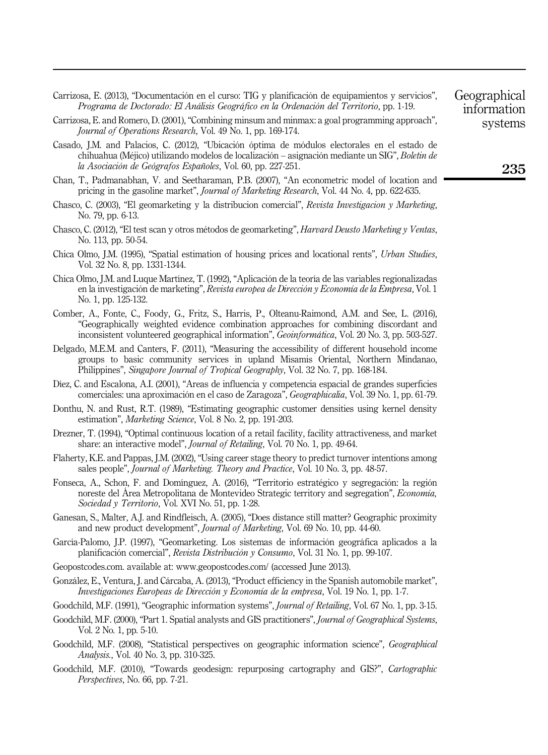- Carrizosa, E. (2013), "Documentación en el curso: TIG y planificación de equipamientos y servicios", Programa de Doctorado: El Análisis Geográfico en la Ordenación del Territorio, pp. 1-19.
- Carrizosa, E. and Romero, D. (2001), "Combining minsum and minmax: a goal programming approach", Journal of Operations Research, Vol. 49 No. 1, pp. 169-174.
- Casado, J.M. and Palacios, C. (2012), "Ubicación óptima de módulos electorales en el estado de chihuahua (Méjico) utilizando modelos de localización – asignación mediante un SIG", Boletin de la Asociación de Geógrafos Españoles, Vol. 60, pp. 227-251.
- Chan, T., Padmanabhan, V. and Seetharaman, P.B. (2007), "An econometric model of location and pricing in the gasoline market", *Journal of Marketing Research*, Vol. 44 No. 4, pp. 622-635.
- Chasco, C. (2003), "El geomarketing y la distribucion comercial", Revista Investigacion y Marketing, No. 79, pp. 6-13.
- Chasco, C. (2012), "El test scan y otros métodos de geomarketing", Harvard Deusto Marketing y Ventas, No. 113, pp. 50-54.
- Chica Olmo, J.M. (1995), "Spatial estimation of housing prices and locational rents", Urban Studies, Vol. 32 No. 8, pp. 1331-1344.
- Chica Olmo, J.M. and Luque Martínez, T. (1992), "Aplicación de la teoría de las variables regionalizadas en la investigación de marketing", Revista europea de Dirección y Economía de la Empresa, Vol. 1 No. 1, pp. 125-132.
- Comber, A., Fonte, C., Foody, G., Fritz, S., Harris, P., Olteanu-Raimond, A.M. and See, L. (2016), "Geographically weighted evidence combination approaches for combining discordant and inconsistent volunteered geographical information", *Geoinformática*, Vol. 20 No. 3, pp. 503-527.
- Delgado, M.E.M. and Canters, F. (2011), "Measuring the accessibility of different household income groups to basic community services in upland Misamis Oriental, Northern Mindanao, Philippines", Singapore Journal of Tropical Geography, Vol. 32 No. 7, pp. 168-184.
- Díez, C. and Escalona, A.I. (2001), "Areas de influencia y competencia espacial de grandes superficies comerciales: una aproximación en el caso de Zaragoza", Geographicalia, Vol. 39 No. 1, pp. 61-79.
- Donthu, N. and Rust, R.T. (1989), "Estimating geographic customer densities using kernel density estimation", Marketing Science, Vol. 8 No. 2, pp. 191-203.
- Drezner, T. (1994), "Optimal continuous location of a retail facility, facility attractiveness, and market share: an interactive model", Journal of Retailing, Vol. 70 No. 1, pp. 49-64.
- Flaherty, K.E. and Pappas, J.M. (2002), "Using career stage theory to predict turnover intentions among sales people", Journal of Marketing. Theory and Practice, Vol. 10 No. 3, pp. 48-57.
- Fonseca, A., Schon, F. and Domínguez, A. (2016), "Territorio estratégico y segregación: la región noreste del Área Metropolitana de Montevideo Strategic territory and segregation", *Economía*, Sociedad y Territorio, Vol. XVI No. 51, pp. 1-28.
- Ganesan, S., Malter, A.J. and Rindfleisch, A. (2005), "Does distance still matter? Geographic proximity and new product development", Journal of Marketing, Vol. 69 No. 10, pp. 44-60.
- García-Palomo, J.P. (1997), "Geomarketing. Los sistemas de información geográfica aplicados a la planificación comercial", Revista Distribución y Consumo, Vol. 31 No. 1, pp. 99-107.
- Geopostcodes.com. available at:<www.geopostcodes.com/> (accessed June 2013).
- González, E., Ventura, J. and Cárcaba, A. (2013), "Product efficiency in the Spanish automobile market", Investigaciones Europeas de Dirección y Economía de la empresa, Vol. 19 No. 1, pp. 1-7.
- Goodchild, M.F. (1991), "Geographic information systems", *Journal of Retailing*, Vol. 67 No. 1, pp. 3-15.
- Goodchild, M.F. (2000), "Part 1. Spatial analysts and GIS practitioners", Journal of Geographical Systems, Vol. 2 No. 1, pp. 5-10.
- Goodchild, M.F. (2008), "Statistical perspectives on geographic information science", Geographical Analysis., Vol. 40 No. 3, pp. 310-325.
- Goodchild, M.F. (2010), "Towards geodesign: repurposing cartography and GIS?", *Cartographic* Perspectives, No. 66, pp. 7-21.

Geographical information systems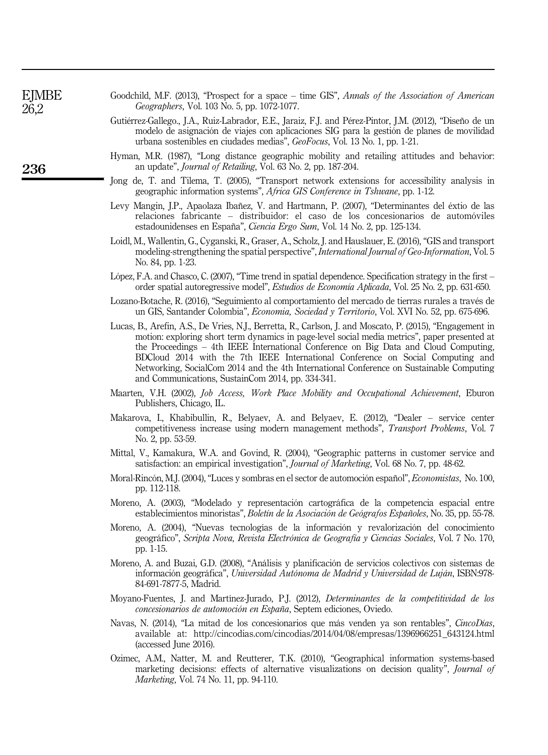| ิ<br>ย)MBl |
|------------|
| า          |

236

Goodchild, M.F. (2013), "Prospect for a space – time GIS", Annals of the Association of American Geographers, Vol. 103 No. 5, pp. 1072-1077.

- Gutiérrez-Gallego., J.A., Ruiz-Labrador, E.E., Jaraiz, F.J. and Pérez-Pintor, J.M. (2012), "Diseño de un modelo de asignación de viajes con aplicaciones SIG para la gestión de planes de movilidad urbana sostenibles en ciudades medias", GeoFocus, Vol. 13 No. 1, pp. 1-21.
- Hyman, M.R. (1987), "Long distance geographic mobility and retailing attitudes and behavior: an update", Journal of Retailing, Vol. 63 No. 2, pp. 187-204.
- Jong de, T. and Tilema, T. (2005), "Transport network extensions for accessibility analysis in geographic information systems", Africa GIS Conference in Tshwane, pp. 1-12.
- Levy Mangin, J.P., Apaolaza Ibañez, V. and Hartmann, P. (2007), "Determinantes del éxtio de las relaciones fabricante – distribuidor: el caso de los concesionarios de automóviles estadounidenses en España", Ciencia Ergo Sum, Vol. 14 No. 2, pp. 125-134.
- Loidl, M., Wallentin, G., Cyganski, R., Graser, A., Scholz, J. and Hauslauer, E. (2016), "GIS and transport modeling-strengthening the spatial perspective", *International Journal of Geo-Information*, Vol. 5 No. 84, pp. 1-23.
- López, F.A. and Chasco, C. (2007), "Time trend in spatial dependence. Specification strategy in the first order spatial autoregressive model", Estudios de Economía Aplicada, Vol. 25 No. 2, pp. 631-650.
- Lozano-Botache, R. (2016), "Seguimiento al comportamiento del mercado de tierras rurales a través de un GIS, Santander Colombia", Economia, Sociedad y Territorio, Vol. XVI No. 52, pp. 675-696.
- Lucas, B., Arefin, A.S., De Vries, N.J., Berretta, R., Carlson, J. and Moscato, P. (2015), "Engagement in motion: exploring short term dynamics in page-level social media metrics", paper presented at the Proceedings – 4th IEEE International Conference on Big Data and Cloud Computing, BDCloud 2014 with the 7th IEEE International Conference on Social Computing and Networking, SocialCom 2014 and the 4th International Conference on Sustainable Computing and Communications, SustainCom 2014, pp. 334-341.
- Maarten, V.H. (2002), Job Access, Work Place Mobility and Occupational Achievement, Eburon Publishers, Chicago, IL.
- Makarova, I., Khabibullin, R., Belyaev, A. and Belyaev, E. (2012), "Dealer service center competitiveness increase using modern management methods", Transport Problems, Vol. 7 No. 2, pp. 53-59.
- Mittal, V., Kamakura, W.A. and Govind, R. (2004), "Geographic patterns in customer service and satisfaction: an empirical investigation", Journal of Marketing, Vol. 68 No. 7, pp. 48-62.
- Moral-Rincón, M.J. (2004), "Luces y sombras en el sector de automoción español", Economistas, No. 100, pp. 112-118.
- Moreno, A. (2003), "Modelado y representación cartográfica de la competencia espacial entre establecimientos minoristas", Boletín de la Asociación de Geógrafos Españoles, No. 35, pp. 55-78.
- Moreno, A. (2004), "Nuevas tecnologías de la información y revalorización del conocimiento geográfico", Scripta Nova, Revista Electrónica de Geografía y Ciencias Sociales, Vol. 7 No. 170, pp. 1-15.
- Moreno, A. and Buzai, G.D. (2008), "Análisis y planificación de servicios colectivos con sistemas de información geográfica", Universidad Autónoma de Madrid y Universidad de Luján, ISBN:978- 84-691-7877-5, Madrid.
- Moyano-Fuentes, J. and Martínez-Jurado, P.J. (2012), Determinantes de la competitividad de los concesionarios de automoción en España, Septem ediciones, Oviedo.
- Navas, N. (2014), "La mitad de los concesionarios que más venden ya son rentables", CincoDías, available at: [http://cincodias.com/cincodias/2014/04/08/empresas/1396966251\\_643124.html](http://cincodias.com/cincodias/2014/04/08/empresas/1396966251_643124.html) (accessed June 2016).
- Ozimec, A.M., Natter, M. and Reutterer, T.K. (2010), "Geographical information systems-based marketing decisions: effects of alternative visualizations on decision quality", Journal of Marketing, Vol. 74 No. 11, pp. 94-110.